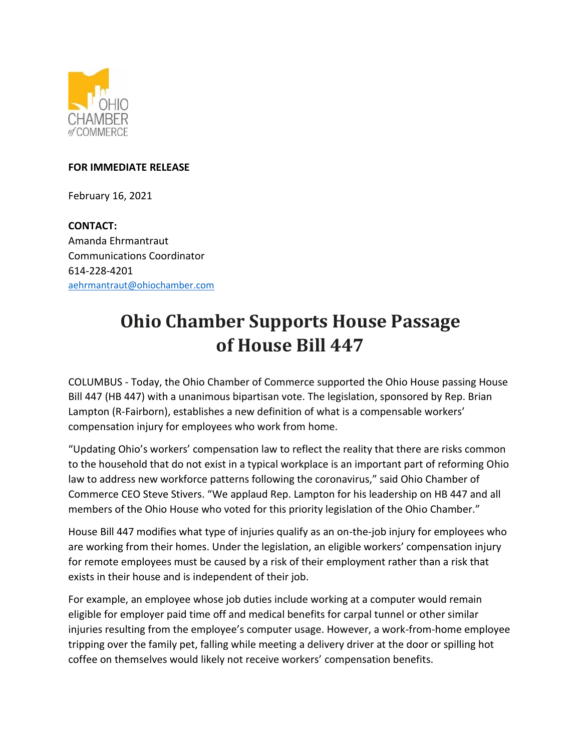

## **FOR IMMEDIATE RELEASE**

February 16, 2021

**CONTACT:**  Amanda Ehrmantraut Communications Coordinator 614-228-4201 [aehrmantraut@ohiochamber.com](mailto:aehrmantraut@ohiochamber.com)

## **Ohio Chamber Supports House Passage of House Bill 447**

COLUMBUS - Today, the Ohio Chamber of Commerce supported the Ohio House passing House Bill 447 (HB 447) with a unanimous bipartisan vote. The legislation, sponsored by Rep. Brian Lampton (R-Fairborn), establishes a new definition of what is a compensable workers' compensation injury for employees who work from home.

"Updating Ohio's workers' compensation law to reflect the reality that there are risks common to the household that do not exist in a typical workplace is an important part of reforming Ohio law to address new workforce patterns following the coronavirus," said Ohio Chamber of Commerce CEO Steve Stivers. "We applaud Rep. Lampton for his leadership on HB 447 and all members of the Ohio House who voted for this priority legislation of the Ohio Chamber."

House Bill 447 modifies what type of injuries qualify as an on-the-job injury for employees who are working from their homes. Under the legislation, an eligible workers' compensation injury for remote employees must be caused by a risk of their employment rather than a risk that exists in their house and is independent of their job.

For example, an employee whose job duties include working at a computer would remain eligible for employer paid time off and medical benefits for carpal tunnel or other similar injuries resulting from the employee's computer usage. However, a work-from-home employee tripping over the family pet, falling while meeting a delivery driver at the door or spilling hot coffee on themselves would likely not receive workers' compensation benefits.